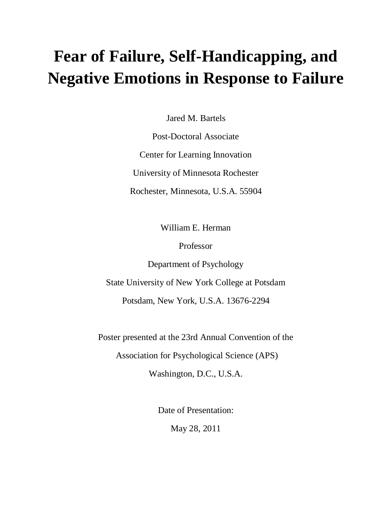# **Fear of Failure, Self-Handicapping, and Negative Emotions in Response to Failure**

Jared M. Bartels

Post-Doctoral Associate Center for Learning Innovation University of Minnesota Rochester Rochester, Minnesota, U.S.A. 55904

William E. Herman

Professor

Department of Psychology

State University of New York College at Potsdam

Potsdam, New York, U.S.A. 13676-2294

Poster presented at the 23rd Annual Convention of the

Association for Psychological Science (APS)

Washington, D.C., U.S.A.

Date of Presentation:

May 28, 2011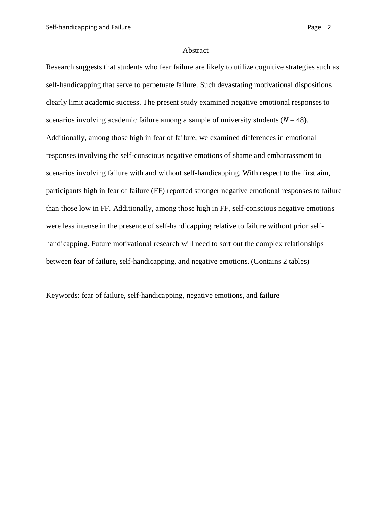### Abstract

Research suggests that students who fear failure are likely to utilize cognitive strategies such as self-handicapping that serve to perpetuate failure. Such devastating motivational dispositions clearly limit academic success. The present study examined negative emotional responses to scenarios involving academic failure among a sample of university students  $(N = 48)$ . Additionally, among those high in fear of failure, we examined differences in emotional responses involving the self-conscious negative emotions of shame and embarrassment to scenarios involving failure with and without self-handicapping. With respect to the first aim, participants high in fear of failure (FF) reported stronger negative emotional responses to failure than those low in FF. Additionally, among those high in FF, self-conscious negative emotions were less intense in the presence of self-handicapping relative to failure without prior selfhandicapping. Future motivational research will need to sort out the complex relationships between fear of failure, self-handicapping, and negative emotions. (Contains 2 tables)

Keywords: fear of failure, self-handicapping, negative emotions, and failure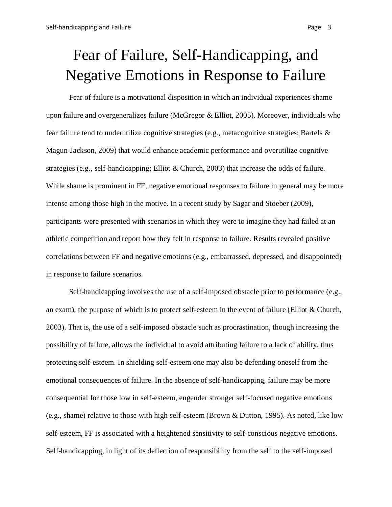# Fear of Failure, Self-Handicapping, and Negative Emotions in Response to Failure

Fear of failure is a motivational disposition in which an individual experiences shame upon failure and overgeneralizes failure (McGregor & Elliot, 2005). Moreover, individuals who fear failure tend to underutilize cognitive strategies (e.g., metacognitive strategies; Bartels & Magun-Jackson, 2009) that would enhance academic performance and overutilize cognitive strategies (e.g., self-handicapping; Elliot & Church, 2003) that increase the odds of failure. While shame is prominent in FF, negative emotional responses to failure in general may be more intense among those high in the motive. In a recent study by Sagar and Stoeber (2009), participants were presented with scenarios in which they were to imagine they had failed at an athletic competition and report how they felt in response to failure. Results revealed positive correlations between FF and negative emotions (e.g., embarrassed, depressed, and disappointed) in response to failure scenarios.

Self-handicapping involves the use of a self-imposed obstacle prior to performance (e.g., an exam), the purpose of which is to protect self-esteem in the event of failure (Elliot & Church, 2003). That is, the use of a self-imposed obstacle such as procrastination, though increasing the possibility of failure, allows the individual to avoid attributing failure to a lack of ability, thus protecting self-esteem. In shielding self-esteem one may also be defending oneself from the emotional consequences of failure. In the absence of self-handicapping, failure may be more consequential for those low in self-esteem, engender stronger self-focused negative emotions (e.g., shame) relative to those with high self-esteem (Brown & Dutton, 1995). As noted, like low self-esteem, FF is associated with a heightened sensitivity to self-conscious negative emotions. Self-handicapping, in light of its deflection of responsibility from the self to the self-imposed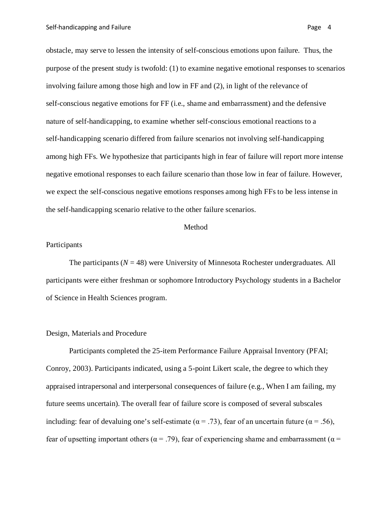obstacle, may serve to lessen the intensity of self-conscious emotions upon failure. Thus, the purpose of the present study is twofold: (1) to examine negative emotional responses to scenarios involving failure among those high and low in FF and (2), in light of the relevance of self-conscious negative emotions for FF (i.e., shame and embarrassment) and the defensive nature of self-handicapping, to examine whether self-conscious emotional reactions to a self-handicapping scenario differed from failure scenarios not involving self-handicapping among high FFs. We hypothesize that participants high in fear of failure will report more intense negative emotional responses to each failure scenario than those low in fear of failure. However, we expect the self-conscious negative emotions responses among high FFs to be less intense in the self-handicapping scenario relative to the other failure scenarios.

### Method

# Participants

The participants  $(N = 48)$  were University of Minnesota Rochester undergraduates. All participants were either freshman or sophomore Introductory Psychology students in a Bachelor of Science in Health Sciences program.

#### Design, Materials and Procedure

Participants completed the 25-item Performance Failure Appraisal Inventory (PFAI; Conroy, 2003). Participants indicated, using a 5-point Likert scale, the degree to which they appraised intrapersonal and interpersonal consequences of failure (e.g., When I am failing, my future seems uncertain). The overall fear of failure score is composed of several subscales including: fear of devaluing one's self-estimate ( $\alpha$  = .73), fear of an uncertain future ( $\alpha$  = .56), fear of upsetting important others ( $\alpha$  = .79), fear of experiencing shame and embarrassment ( $\alpha$  =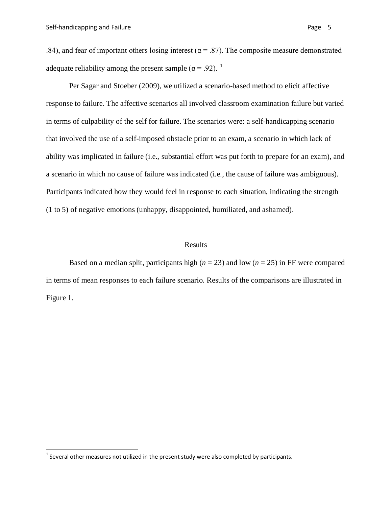.84), and fear of important others losing interest ( $\alpha$  = .87). The composite measure demonstrated adequate reliability among the present sample ( $\alpha$  = .92). <sup>[1](#page-4-0)</sup>

Per Sagar and Stoeber (2009), we utilized a scenario-based method to elicit affective response to failure. The affective scenarios all involved classroom examination failure but varied in terms of culpability of the self for failure. The scenarios were: a self-handicapping scenario that involved the use of a self-imposed obstacle prior to an exam, a scenario in which lack of ability was implicated in failure (i.e., substantial effort was put forth to prepare for an exam), and a scenario in which no cause of failure was indicated (i.e., the cause of failure was ambiguous). Participants indicated how they would feel in response to each situation, indicating the strength (1 to 5) of negative emotions (unhappy, disappointed, humiliated, and ashamed).

## Results

Based on a median split, participants high ( $n = 23$ ) and low ( $n = 25$ ) in FF were compared in terms of mean responses to each failure scenario. Results of the comparisons are illustrated in Figure 1.

<span id="page-4-0"></span> $1$  Several other measures not utilized in the present study were also completed by participants.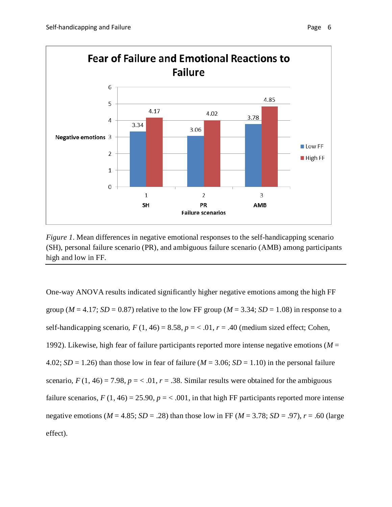

*Figure 1*. Mean differences in negative emotional responses to the self-handicapping scenario (SH), personal failure scenario (PR), and ambiguous failure scenario (AMB) among participants high and low in FF.

One-way ANOVA results indicated significantly higher negative emotions among the high FF group ( $M = 4.17$ ;  $SD = 0.87$ ) relative to the low FF group ( $M = 3.34$ ;  $SD = 1.08$ ) in response to a self-handicapping scenario,  $F(1, 46) = 8.58$ ,  $p = 6.61$ ,  $r = .40$  (medium sized effect; Cohen, 1992). Likewise, high fear of failure participants reported more intense negative emotions (*M* = 4.02;  $SD = 1.26$ ) than those low in fear of failure ( $M = 3.06$ ;  $SD = 1.10$ ) in the personal failure scenario,  $F(1, 46) = 7.98$ ,  $p = < .01$ ,  $r = .38$ . Similar results were obtained for the ambiguous failure scenarios,  $F(1, 46) = 25.90$ ,  $p = < .001$ , in that high FF participants reported more intense negative emotions ( $M = 4.85$ ;  $SD = .28$ ) than those low in FF ( $M = 3.78$ ;  $SD = .97$ ),  $r = .60$  (large effect).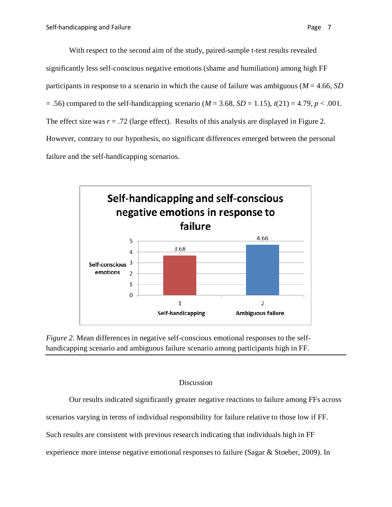With respect to the second aim of the study, paired-sample *t*-test results revealed significantly less self-conscious negative emotions (shame and humiliation) among high FF participants in response to a scenario in which the cause of failure was ambiguous (*M* = 4.66, *SD*  $= .56$ ) compared to the self-handicapping scenario ( $M = 3.68$ ,  $SD = 1.15$ ),  $t(21) = 4.79$ ,  $p < .001$ . The effect size was  $r = .72$  (large effect). Results of this analysis are displayed in Figure 2. However, contrary to our hypothesis, no significant differences emerged between the personal failure and the self-handicapping scenarios.





# Discussion

Our results indicated significantly greater negative reactions to failure among FFs across scenarios varying in terms of individual responsibility for failure relative to those low if FF. Such results are consistent with previous research indicating that individuals high in FF experience more intense negative emotional responses to failure (Sagar & Stoeber, 2009). In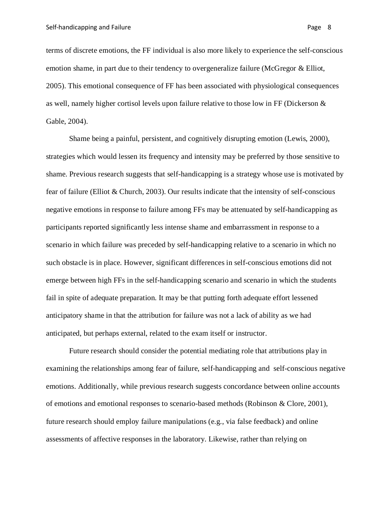terms of discrete emotions, the FF individual is also more likely to experience the self-conscious emotion shame, in part due to their tendency to overgeneralize failure (McGregor & Elliot, 2005). This emotional consequence of FF has been associated with physiological consequences as well, namely higher cortisol levels upon failure relative to those low in FF (Dickerson & Gable, 2004).

Shame being a painful, persistent, and cognitively disrupting emotion (Lewis, 2000), strategies which would lessen its frequency and intensity may be preferred by those sensitive to shame. Previous research suggests that self-handicapping is a strategy whose use is motivated by fear of failure (Elliot & Church, 2003). Our results indicate that the intensity of self-conscious negative emotions in response to failure among FFs may be attenuated by self-handicapping as participants reported significantly less intense shame and embarrassment in response to a scenario in which failure was preceded by self-handicapping relative to a scenario in which no such obstacle is in place. However, significant differences in self-conscious emotions did not emerge between high FFs in the self-handicapping scenario and scenario in which the students fail in spite of adequate preparation. It may be that putting forth adequate effort lessened anticipatory shame in that the attribution for failure was not a lack of ability as we had anticipated, but perhaps external, related to the exam itself or instructor.

Future research should consider the potential mediating role that attributions play in examining the relationships among fear of failure, self-handicapping and self-conscious negative emotions. Additionally, while previous research suggests concordance between online accounts of emotions and emotional responses to scenario-based methods (Robinson & Clore, 2001), future research should employ failure manipulations (e.g., via false feedback) and online assessments of affective responses in the laboratory. Likewise, rather than relying on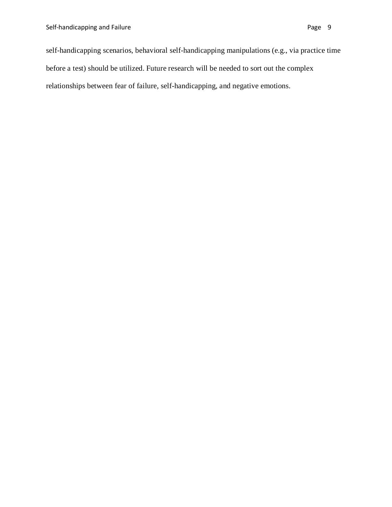self-handicapping scenarios, behavioral self-handicapping manipulations (e.g., via practice time before a test) should be utilized. Future research will be needed to sort out the complex relationships between fear of failure, self-handicapping, and negative emotions.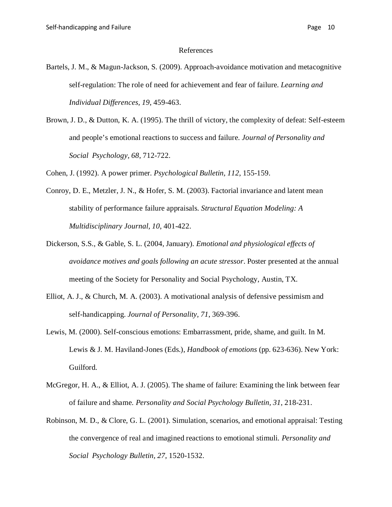#### References

- Bartels, J. M., & Magun-Jackson, S. (2009). Approach-avoidance motivation and metacognitive self-regulation: The role of need for achievement and fear of failure. *Learning and Individual Differences, 19*, 459-463.
- Brown, J. D., & Dutton, K. A. (1995). The thrill of victory, the complexity of defeat: Self-esteem and people's emotional reactions to success and failure. *Journal of Personality and Social Psychology, 68*, 712-722.

Cohen, J. (1992). A power primer. *Psychological Bulletin, 112*, 155-159.

- Conroy, D. E., Metzler, J. N., & Hofer, S. M. (2003). Factorial invariance and latent mean stability of performance failure appraisals. *Structural Equation Modeling: A Multidisciplinary Journal, 10*, 401-422.
- Dickerson, S.S., & Gable, S. L. (2004, January). *Emotional and physiological effects of avoidance motives and goals following an acute stressor*. Poster presented at the annual meeting of the Society for Personality and Social Psychology, Austin, TX.
- Elliot, A. J., & Church, M. A. (2003). A motivational analysis of defensive pessimism and self-handicapping. *Journal of Personality, 71*, 369-396.
- Lewis, M. (2000). Self-conscious emotions: Embarrassment, pride, shame, and guilt. In M. Lewis & J. M. Haviland-Jones (Eds.), *Handbook of emotions* (pp. 623-636). New York: Guilford.
- McGregor, H. A., & Elliot, A. J. (2005). The shame of failure: Examining the link between fear of failure and shame. *Personality and Social Psychology Bulletin, 31*, 218-231.
- Robinson, M. D., & Clore, G. L. (2001). Simulation, scenarios, and emotional appraisal: Testing the convergence of real and imagined reactions to emotional stimuli. *Personality and Social Psychology Bulletin, 27*, 1520-1532.